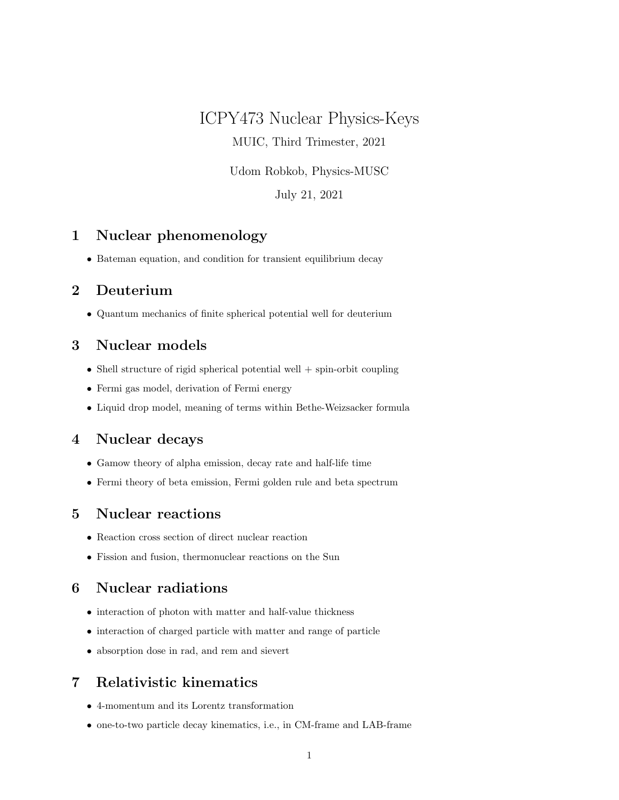# ICPY473 Nuclear Physics-Keys

MUIC, Third Trimester, 2021

Udom Robkob, Physics-MUSC

July 21, 2021

# 1 Nuclear phenomenology

• Bateman equation, and condition for transient equilibrium decay

# 2 Deuterium

• Quantum mechanics of finite spherical potential well for deuterium

## 3 Nuclear models

- Shell structure of rigid spherical potential well  $+$  spin-orbit coupling
- Fermi gas model, derivation of Fermi energy
- Liquid drop model, meaning of terms within Bethe-Weizsacker formula

### 4 Nuclear decays

- Gamow theory of alpha emission, decay rate and half-life time
- Fermi theory of beta emission, Fermi golden rule and beta spectrum

### 5 Nuclear reactions

- Reaction cross section of direct nuclear reaction
- Fission and fusion, thermonuclear reactions on the Sun

# 6 Nuclear radiations

- interaction of photon with matter and half-value thickness
- interaction of charged particle with matter and range of particle
- absorption dose in rad, and rem and sievert

# 7 Relativistic kinematics

- 4-momentum and its Lorentz transformation
- one-to-two particle decay kinematics, i.e., in CM-frame and LAB-frame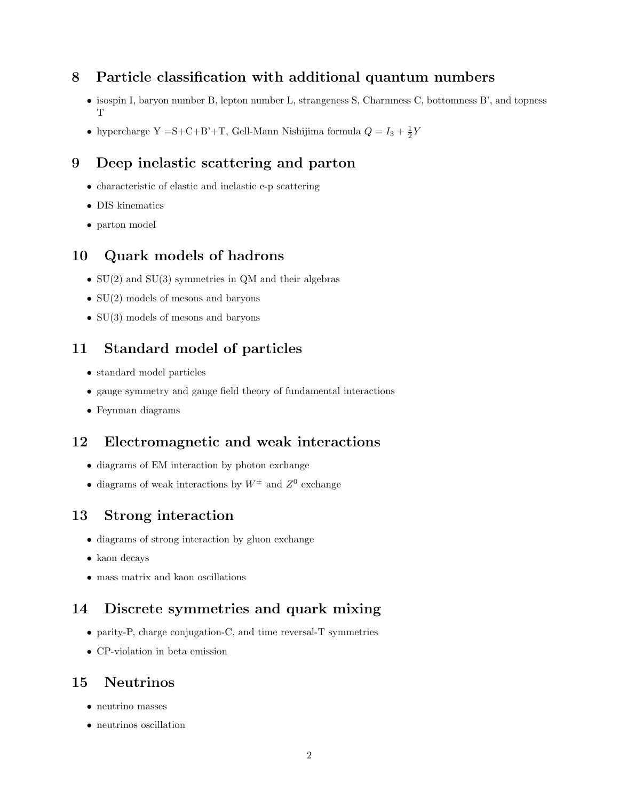## 8 Particle classification with additional quantum numbers

- isospin I, baryon number B, lepton number L, strangeness S, Charmness C, bottomness B', and topness T
- hypercharge Y = S+C+B'+T, Gell-Mann Nishijima formula  $Q = I_3 + \frac{1}{2}Y$

# 9 Deep inelastic scattering and parton

- characteristic of elastic and inelastic e-p scattering
- DIS kinematics
- parton model

# 10 Quark models of hadrons

- $SU(2)$  and  $SU(3)$  symmetries in QM and their algebras
- SU(2) models of mesons and baryons
- SU(3) models of mesons and baryons

# 11 Standard model of particles

- standard model particles
- gauge symmetry and gauge field theory of fundamental interactions
- Feynman diagrams

#### 12 Electromagnetic and weak interactions

- diagrams of EM interaction by photon exchange
- diagrams of weak interactions by  $W^{\pm}$  and  $Z^{0}$  exchange

#### 13 Strong interaction

- diagrams of strong interaction by gluon exchange
- kaon decays
- mass matrix and kaon oscillations

## 14 Discrete symmetries and quark mixing

- parity-P, charge conjugation-C, and time reversal-T symmetries
- CP-violation in beta emission

#### 15 Neutrinos

- neutrino masses
- neutrinos oscillation